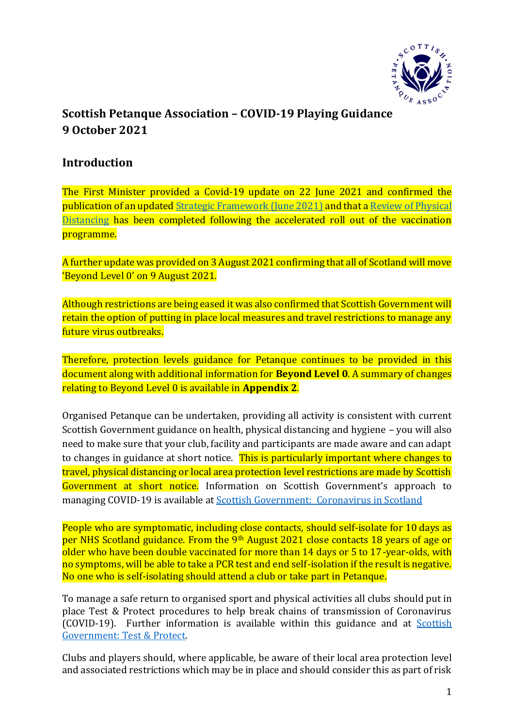

# **Scottish Petanque Association – COVID-19 Playing Guidance 9 October 2021**

## **Introduction**

The First Minister provided a Covid-19 update on 22 June 2021 and confirmed the publication of an update[d Strategic Framework \(June 2021\)](https://www.gov.scot/publications/coronavirus-covid-19-scotlands-strategic-framework-update-june-2021/) and that [a Review of Physical](https://www.gov.scot/publications/coronavirus-covid-19-review-physical-distancing-scotland-june-2021/)  [Distancing](https://www.gov.scot/publications/coronavirus-covid-19-review-physical-distancing-scotland-june-2021/) has been completed following the accelerated roll out of the vaccination programme.

A further update was provided on 3 August 2021 confirming that all of Scotland will move 'Beyond Level 0' on 9 August 2021.

Although restrictions are being eased it was also confirmed that Scottish Government will retain the option of putting in place local measures and travel restrictions to manage any future virus outbreaks.

Therefore, protection levels guidance for Petanque continues to be provided in this document along with additional information for **Beyond Level 0**. A summary of changes relating to Beyond Level 0 is available in **Appendix 2**.

Organised Petanque can be undertaken, providing all activity is consistent with current Scottish Government guidance on health, physical distancing and hygiene – you will also need to make sure that your club, facility and participants are made aware and can adapt to changes in guidance at short notice. This is particularly important where changes to travel, physical distancing or local area protection level restrictions are made by Scottish Government at short notice. Information on Scottish Government's approach to managing COVID-19 is available at [Scottish Government: Coronavirus in Scotland](http://www.gov.scot/coronavirus-covid-19/)

People who are symptomatic, including close contacts, should self-isolate for 10 days as per NHS Scotland guidance. From the 9<sup>th</sup> August 2021 close contacts 18 years of age or older who have been double vaccinated for more than 14 days or 5 to 17-year-olds, with no symptoms, will be able to take a PCR test and end self-isolation if the result is negative. No one who is self-isolating should attend a club or take part in Petanque.

To manage a safe return to organised sport and physical activities all clubs should put in place Test & Protect procedures to help break chains of transmission of Coronavirus (COVID-19). Further information is available within this guidance and at [Scottish](http://www.gov.scot/publications/coronavirus-covid-19-test-and-protect/)  [Government: Test & Protect.](http://www.gov.scot/publications/coronavirus-covid-19-test-and-protect/)

Clubs and players should, where applicable, be aware of their local area protection level and associated restrictions which may be in place and should consider this as part of risk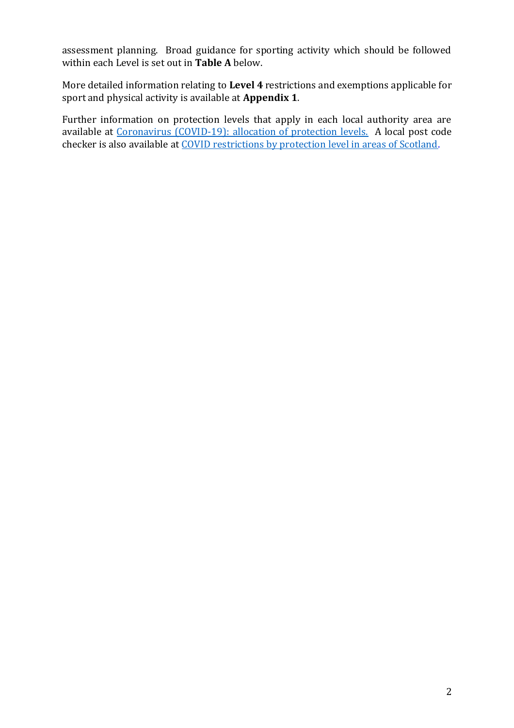assessment planning. Broad guidance for sporting activity which should be followed within each Level is set out in **Table A** below.

More detailed information relating to **Level 4** restrictions and exemptions applicable for sport and physical activity is available at **Appendix 1**.

Further information on protection levels that apply in each local authority area are available at [Coronavirus \(COVID-19\): allocation of protection levels.](https://www.gov.scot/publications/coronavirus-covid-19-protection-levels/) A local post code checker is also available at [COVID restrictions by protection level in areas of Scotland.](http://www.gov.scot/check-local-covid-level/)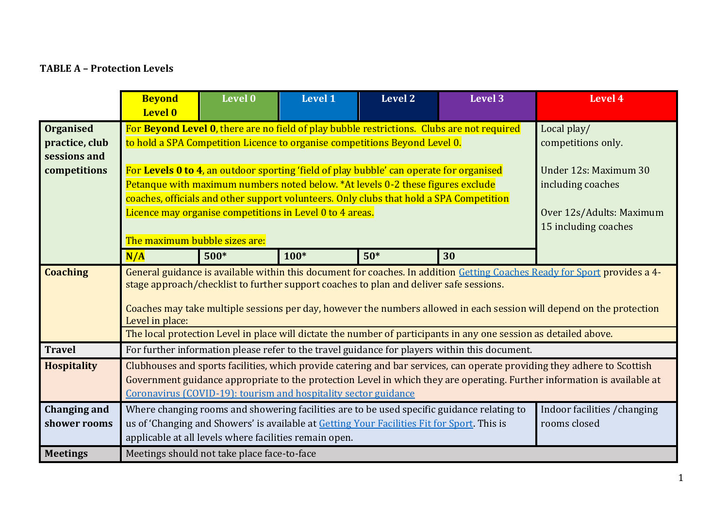### **TABLE A – Protection Levels**

|                                                    | <b>Beyond</b><br>Level 0                                                                                                                                                                                                                                                                                                                                        | Level 0                           | <b>Level 1</b> | Level 2 | Level 3 | Level 4 |  |  |
|----------------------------------------------------|-----------------------------------------------------------------------------------------------------------------------------------------------------------------------------------------------------------------------------------------------------------------------------------------------------------------------------------------------------------------|-----------------------------------|----------------|---------|---------|---------|--|--|
| <b>Organised</b><br>practice, club<br>sessions and | For Beyond Level 0, there are no field of play bubble restrictions. Clubs are not required<br>to hold a SPA Competition Licence to organise competitions Beyond Level 0.                                                                                                                                                                                        | Local play/<br>competitions only. |                |         |         |         |  |  |
| competitions                                       | For Levels 0 to 4, an outdoor sporting 'field of play bubble' can operate for organised<br>Under 12s: Maximum 30<br>Petanque with maximum numbers noted below. *At levels 0-2 these figures exclude<br>including coaches<br>coaches, officials and other support volunteers. Only clubs that hold a SPA Competition                                             |                                   |                |         |         |         |  |  |
|                                                    | Licence may organise competitions in Level 0 to 4 areas.<br>Over 12s/Adults: Maximum<br>15 including coaches<br>The maximum bubble sizes are:                                                                                                                                                                                                                   |                                   |                |         |         |         |  |  |
|                                                    | N/A                                                                                                                                                                                                                                                                                                                                                             | $500*$                            | $100*$         | $50*$   | 30      |         |  |  |
| <b>Coaching</b>                                    | General guidance is available within this document for coaches. In addition Getting Coaches Ready for Sport provides a 4-<br>stage approach/checklist to further support coaches to plan and deliver safe sessions.<br>Coaches may take multiple sessions per day, however the numbers allowed in each session will depend on the protection<br>Level in place: |                                   |                |         |         |         |  |  |
| <b>Travel</b>                                      | The local protection Level in place will dictate the number of participants in any one session as detailed above.<br>For further information please refer to the travel guidance for players within this document.                                                                                                                                              |                                   |                |         |         |         |  |  |
| <b>Hospitality</b>                                 | Clubhouses and sports facilities, which provide catering and bar services, can operate providing they adhere to Scottish<br>Government guidance appropriate to the protection Level in which they are operating. Further information is available at<br>Coronavirus (COVID-19): tourism and hospitality sector guidance                                         |                                   |                |         |         |         |  |  |
| <b>Changing and</b><br>shower rooms                | Where changing rooms and showering facilities are to be used specific guidance relating to<br>Indoor facilities / changing<br>us of 'Changing and Showers' is available at Getting Your Facilities Fit for Sport. This is<br>rooms closed<br>applicable at all levels where facilities remain open.                                                             |                                   |                |         |         |         |  |  |
| <b>Meetings</b>                                    | Meetings should not take place face-to-face                                                                                                                                                                                                                                                                                                                     |                                   |                |         |         |         |  |  |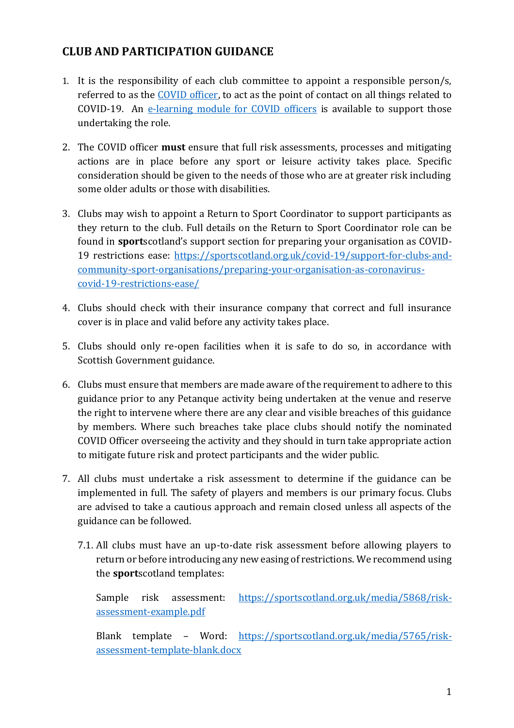## **CLUB AND PARTICIPATION GUIDANCE**

- 1. It is the responsibility of each club committee to appoint a responsible person/s, referred to as the [COVID officer,](http://www.sportscotland.org.uk/media/5950/sportscotland-covid-officer.pdf) to act as the point of contact on all things related to COVID-19. An [e-learning module for COVID officers](https://rise.articulate.com/share/LlEWUj-o23H_4gC1AF002jdxdrCucQC0#/) is available to support those undertaking the role.
- 2. The COVID officer **must** ensure that full risk assessments, processes and mitigating actions are in place before any sport or leisure activity takes place. Specific consideration should be given to the needs of those who are at greater risk including some older adults or those with disabilities.
- 3. Clubs may wish to appoint a Return to Sport Coordinator to support participants as they return to the club. Full details on the Return to Sport Coordinator role can be found in **sport**scotland's support section for preparing your organisation as COVID-19 restrictions ease: [https://sportscotland.org.uk/covid-19/support-for-clubs-and](https://sportscotland.org.uk/covid-19/support-for-clubs-and-community-sport-organisations/preparing-your-organisation-as-coronavirus-covid-19-restrictions-ease/)[community-sport-organisations/preparing-your-organisation-as-coronavirus](https://sportscotland.org.uk/covid-19/support-for-clubs-and-community-sport-organisations/preparing-your-organisation-as-coronavirus-covid-19-restrictions-ease/)[covid-19-restrictions-ease/](https://sportscotland.org.uk/covid-19/support-for-clubs-and-community-sport-organisations/preparing-your-organisation-as-coronavirus-covid-19-restrictions-ease/)
- 4. Clubs should check with their insurance company that correct and full insurance cover is in place and valid before any activity takes place.
- 5. Clubs should only re-open facilities when it is safe to do so, in accordance with Scottish Government guidance.
- 6. Clubs must ensure that members are made aware of the requirement to adhere to this guidance prior to any Petanque activity being undertaken at the venue and reserve the right to intervene where there are any clear and visible breaches of this guidance by members. Where such breaches take place clubs should notify the nominated COVID Officer overseeing the activity and they should in turn take appropriate action to mitigate future risk and protect participants and the wider public.
- 7. All clubs must undertake a risk assessment to determine if the guidance can be implemented in full. The safety of players and members is our primary focus. Clubs are advised to take a cautious approach and remain closed unless all aspects of the guidance can be followed.
	- 7.1. All clubs must have an up-to-date risk assessment before allowing players to return or before introducing any new easing of restrictions. We recommend using the **sport**scotland templates:

Sample risk assessment: [https://sportscotland.org.uk/media/5868/risk](https://sportscotland.org.uk/media/5868/risk-assessment-example.pdf)[assessment-example.pdf](https://sportscotland.org.uk/media/5868/risk-assessment-example.pdf)

Blank template – Word: [https://sportscotland.org.uk/media/5765/risk](https://sportscotland.org.uk/media/5765/risk-assessment-template-blank.docx)[assessment-template-blank.docx](https://sportscotland.org.uk/media/5765/risk-assessment-template-blank.docx)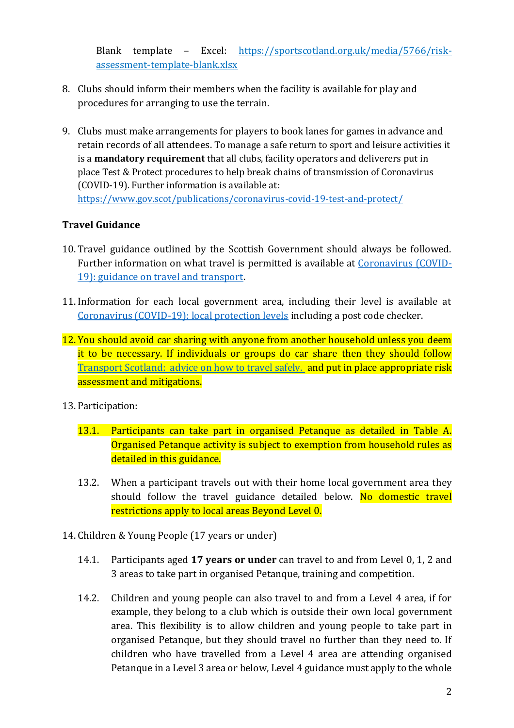Blank template – Excel: [https://sportscotland.org.uk/media/5766/risk](https://sportscotland.org.uk/media/5766/risk-assessment-template-blank.xlsx)[assessment-template-blank.xlsx](https://sportscotland.org.uk/media/5766/risk-assessment-template-blank.xlsx)

- 8. Clubs should inform their members when the facility is available for play and procedures for arranging to use the terrain.
- 9. Clubs must make arrangements for players to book lanes for games in advance and retain records of all attendees. To manage a safe return to sport and leisure activities it is a **mandatory requirement** that all clubs, facility operators and deliverers put in place Test & Protect procedures to help break chains of transmission of Coronavirus (COVID-19). Further information is available at: <https://www.gov.scot/publications/coronavirus-covid-19-test-and-protect/>

### **Travel Guidance**

- 10. Travel guidance outlined by the Scottish Government should always be followed. Further information on what travel is permitted is available at [Coronavirus \(COVID-](https://www.gov.scot/publications/coronavirus-covid-19-guidance-on-travel-and-transport/)[19\): guidance on travel and transport.](https://www.gov.scot/publications/coronavirus-covid-19-guidance-on-travel-and-transport/)
- 11. Information for each local government area, including their level is available at [Coronavirus \(COVID-19\): local protection levels](https://www.gov.scot/publications/coronavirus-covid-19-protection-levels/) including a post code checker.
- 12. You should avoid car sharing with anyone from another household unless you deem it to be necessary. If individuals or groups do car share then they should follow [Transport Scotland: advice on how to travel safely.](http://www.transport.gov.scot/coronavirus-covid-19/transport-transition-plan/advice-on-how-to-travel-safely/#section-63888) and put in place appropriate risk assessment and mitigations.
- 13. Participation:
	- 13.1. Participants can take part in organised Petanque as detailed in Table A. Organised Petanque activity is subject to exemption from household rules as detailed in this guidance.
	- 13.2. When a participant travels out with their home local government area they should follow the travel guidance detailed below. No domestic travel restrictions apply to local areas Beyond Level 0.
- 14. Children & Young People (17 years or under)
	- 14.1. Participants aged **17 years or under** can travel to and from Level 0, 1, 2 and 3 areas to take part in organised Petanque, training and competition.
	- 14.2. Children and young people can also travel to and from a Level 4 area, if for example, they belong to a club which is outside their own local government area. This flexibility is to allow children and young people to take part in organised Petanque, but they should travel no further than they need to. If children who have travelled from a Level 4 area are attending organised Petanque in a Level 3 area or below, Level 4 guidance must apply to the whole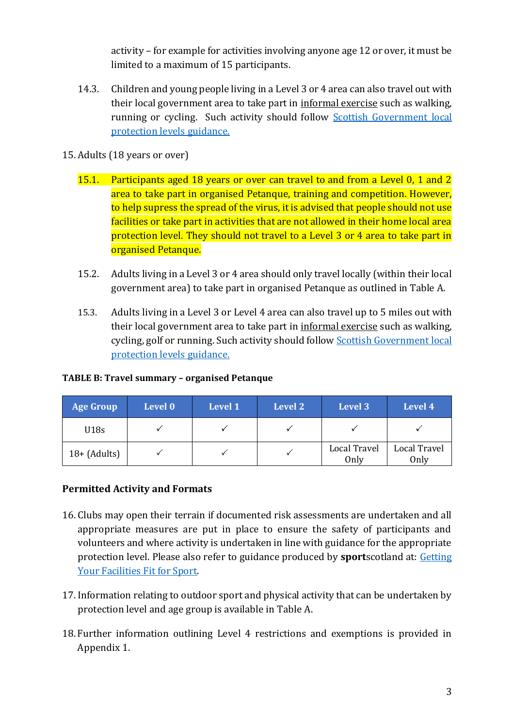activity – for example for activities involving anyone age 12 or over, it must be limited to a maximum of 15 participants.

- 14.3. Children and young people living in a Level 3 or 4 area can also travel out with their local government area to take part in informal exercise such as walking, running or cycling. Such activity should follow Scottish Government local [protection levels](https://www.gov.scot/publications/coronavirus-covid-19-stay-at-home-guidance/) guidance.
- 15. Adults (18 years or over)
	- 15.1. Participants aged 18 years or over can travel to and from a Level 0, 1 and 2 area to take part in organised Petanque, training and competition. However, to help supress the spread of the virus, it is advised that people should not use facilities or take part in activities that are not allowed in their home local area protection level. They should not travel to a Level 3 or 4 area to take part in organised Petanque.
	- 15.2. Adults living in a Level 3 or 4 area should only travel locally (within their local government area) to take part in organised Petanque as outlined in Table A.
	- 15.3. Adults living in a Level 3 or Level 4 area can also travel up to 5 miles out with their local government area to take part in informal exercise such as walking, cycling, golf or running. Such activity should follow **Scottish Government local** [protection levels](https://www.gov.scot/publications/coronavirus-covid-19-stay-at-home-guidance/) guidance.

#### **TABLE B: Travel summary – organised Petanque**

| <b>Age Group</b> | Level 0 | <b>Level 1</b> | Level 2 | Level 3              | Level 4              |
|------------------|---------|----------------|---------|----------------------|----------------------|
| U18s             |         |                |         |                      |                      |
| $18 + (Adu$ lts) |         |                |         | Local Travel<br>Only | Local Travel<br>Only |

### **Permitted Activity and Formats**

- 16. Clubs may open their terrain if documented risk assessments are undertaken and all appropriate measures are put in place to ensure the safety of participants and volunteers and where activity is undertaken in line with guidance for the appropriate protection level. Please also refer to guidance produced by **sport**scotland at[: Getting](http://www.sportscotland.org.uk/covid-19/getting-your-facilities-fit-for-sport/)  [Your Facilities Fit for Sport.](http://www.sportscotland.org.uk/covid-19/getting-your-facilities-fit-for-sport/)
- 17. Information relating to outdoor sport and physical activity that can be undertaken by protection level and age group is available in Table A.
- 18. Further information outlining Level 4 restrictions and exemptions is provided in Appendix 1.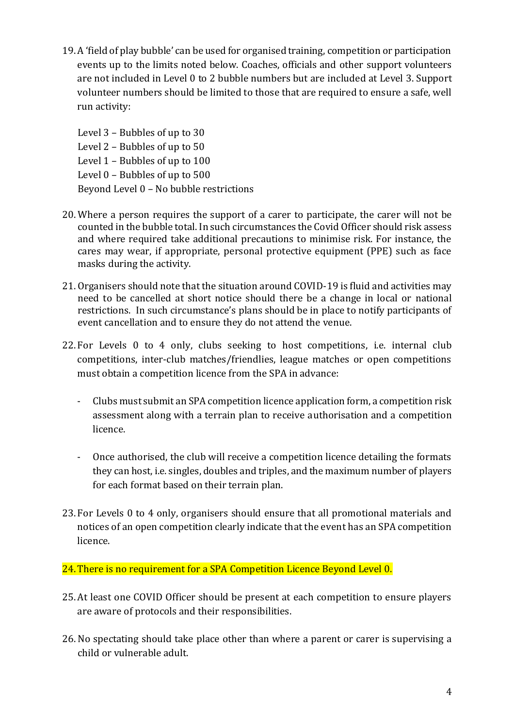19.A 'field of play bubble' can be used for organised training, competition or participation events up to the limits noted below. Coaches, officials and other support volunteers are not included in Level 0 to 2 bubble numbers but are included at Level 3. Support volunteer numbers should be limited to those that are required to ensure a safe, well run activity:

Level 3 – Bubbles of up to 30 Level 2 – Bubbles of up to 50 Level 1 – Bubbles of up to 100 Level 0 – Bubbles of up to 500 Beyond Level 0 – No bubble restrictions

- 20. Where a person requires the support of a carer to participate, the carer will not be counted in the bubble total. In such circumstances the Covid Officer should risk assess and where required take additional precautions to minimise risk. For instance, the cares may wear, if appropriate, personal protective equipment (PPE) such as face masks during the activity.
- 21. Organisers should note that the situation around COVID-19 is fluid and activities may need to be cancelled at short notice should there be a change in local or national restrictions. In such circumstance's plans should be in place to notify participants of event cancellation and to ensure they do not attend the venue.
- 22. For Levels 0 to 4 only, clubs seeking to host competitions, i.e. internal club competitions, inter-club matches/friendlies, league matches or open competitions must obtain a competition licence from the SPA in advance:
	- Clubs must submit an SPA competition licence application form, a competition risk assessment along with a terrain plan to receive authorisation and a competition licence.
	- Once authorised, the club will receive a competition licence detailing the formats they can host, i.e. singles, doubles and triples, and the maximum number of players for each format based on their terrain plan.
- 23. For Levels 0 to 4 only, organisers should ensure that all promotional materials and notices of an open competition clearly indicate that the event has an SPA competition licence.

24. There is no requirement for a SPA Competition Licence Beyond Level 0.

- 25.At least one COVID Officer should be present at each competition to ensure players are aware of protocols and their responsibilities.
- 26. No spectating should take place other than where a parent or carer is supervising a child or vulnerable adult.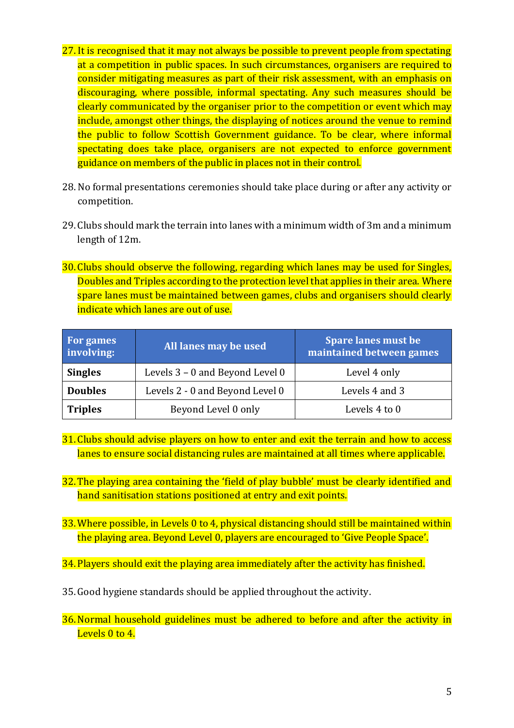- 27. It is recognised that it may not always be possible to prevent people from spectating at a competition in public spaces. In such circumstances, organisers are required to consider mitigating measures as part of their risk assessment, with an emphasis on discouraging, where possible, informal spectating. Any such measures should be clearly communicated by the organiser prior to the competition or event which may include, amongst other things, the displaying of notices around the venue to remind the public to follow Scottish Government guidance. To be clear, where informal spectating does take place, organisers are not expected to enforce government guidance on members of the public in places not in their control.
- 28. No formal presentations ceremonies should take place during or after any activity or competition.
- 29. Clubs should mark the terrain into lanes with a minimum width of 3m and a minimum length of 12m.
- 30. Clubs should observe the following, regarding which lanes may be used for Singles, Doubles and Triples according to the protection level that applies in their area. Where spare lanes must be maintained between games, clubs and organisers should clearly indicate which lanes are out of use.

| For games<br>involving: | All lanes may be used           | <b>Spare lanes must be</b><br>maintained between games |
|-------------------------|---------------------------------|--------------------------------------------------------|
| <b>Singles</b>          | Levels 3 – 0 and Beyond Level 0 | Level 4 only                                           |
| <b>Doubles</b>          | Levels 2 - 0 and Beyond Level 0 | Levels 4 and 3                                         |
| <b>Triples</b>          | Beyond Level 0 only             | Levels 4 to 0                                          |

- 31. Clubs should advise players on how to enter and exit the terrain and how to access lanes to ensure social distancing rules are maintained at all times where applicable.
- 32. The playing area containing the 'field of play bubble' must be clearly identified and hand sanitisation stations positioned at entry and exit points.
- 33.Where possible, in Levels 0 to 4, physical distancing should still be maintained within the playing area. Beyond Level 0, players are encouraged to 'Give People Space'.

34. Players should exit the playing area immediately after the activity has finished.

- 35.Good hygiene standards should be applied throughout the activity.
- 36.Normal household guidelines must be adhered to before and after the activity in Levels 0 to 4.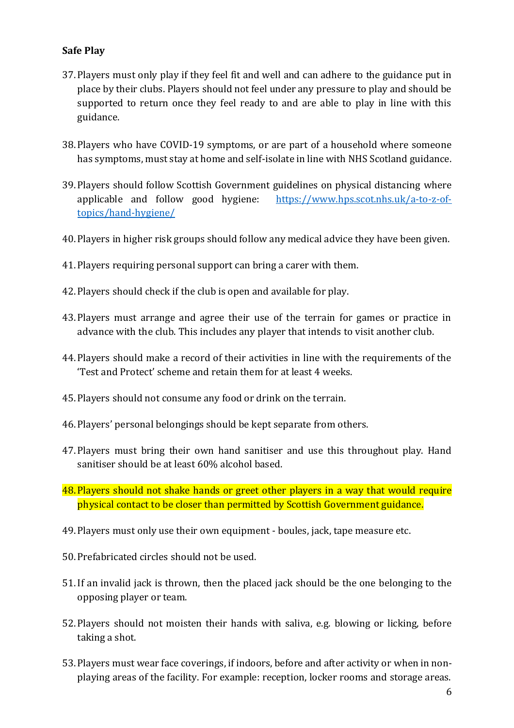### **Safe Play**

- 37. Players must only play if they feel fit and well and can adhere to the guidance put in place by their clubs. Players should not feel under any pressure to play and should be supported to return once they feel ready to and are able to play in line with this guidance.
- 38. Players who have COVID-19 symptoms, or are part of a household where someone has symptoms, must stay at home and self-isolate in line with NHS Scotland guidance.
- 39. Players should follow Scottish Government guidelines on physical distancing where applicable and follow good hygiene: [https://www.hps.scot.nhs.uk/a-to-z-of](https://www.hps.scot.nhs.uk/a-to-z-of-topics/hand-hygiene/)[topics/hand-hygiene/](https://www.hps.scot.nhs.uk/a-to-z-of-topics/hand-hygiene/)
- 40. Players in higher risk groups should follow any medical advice they have been given.
- 41. Players requiring personal support can bring a carer with them.
- 42. Players should check if the club is open and available for play.
- 43. Players must arrange and agree their use of the terrain for games or practice in advance with the club. This includes any player that intends to visit another club.
- 44. Players should make a record of their activities in line with the requirements of the 'Test and Protect' scheme and retain them for at least 4 weeks.
- 45. Players should not consume any food or drink on the terrain.
- 46. Players' personal belongings should be kept separate from others.
- 47. Players must bring their own hand sanitiser and use this throughout play. Hand sanitiser should be at least 60% alcohol based.
- 48. Players should not shake hands or greet other players in a way that would require physical contact to be closer than permitted by Scottish Government guidance.
- 49. Players must only use their own equipment boules, jack, tape measure etc.
- 50. Prefabricated circles should not be used.
- 51.If an invalid jack is thrown, then the placed jack should be the one belonging to the opposing player or team.
- 52. Players should not moisten their hands with saliva, e.g. blowing or licking, before taking a shot.
- 53. Players must wear face coverings, if indoors, before and after activity or when in nonplaying areas of the facility. For example: reception, locker rooms and storage areas.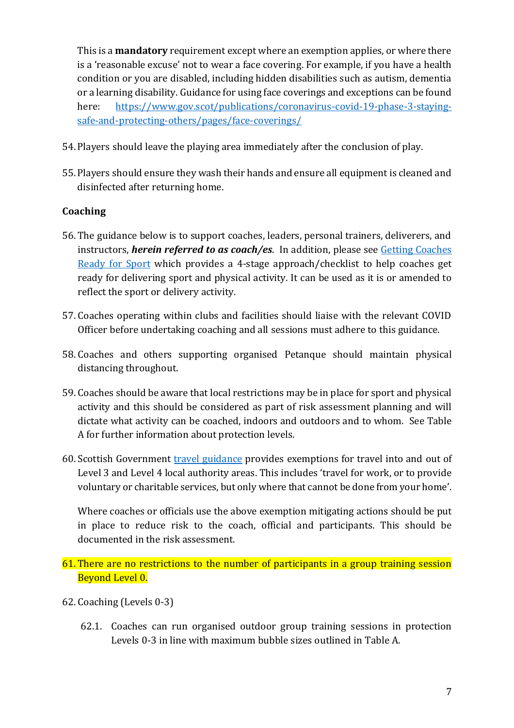This is a **mandatory** requirement except where an exemption applies, or where there is a 'reasonable excuse' not to wear a face covering. For example, if you have a health condition or you are disabled, including hidden disabilities such as autism, dementia or a learning disability. Guidance for using face coverings and exceptions can be found here: [https://www.gov.scot/publications/coronavirus-covid-19-phase-3-staying](https://www.gov.scot/publications/coronavirus-covid-19-phase-3-staying-safe-and-protecting-others/pages/face-coverings/)[safe-and-protecting-others/pages/face-coverings/](https://www.gov.scot/publications/coronavirus-covid-19-phase-3-staying-safe-and-protecting-others/pages/face-coverings/)

- 54. Players should leave the playing area immediately after the conclusion of play.
- 55. Players should ensure they wash their hands and ensure all equipment is cleaned and disinfected after returning home.

## **Coaching**

- 56. The guidance below is to support coaches, leaders, personal trainers, deliverers, and instructors, *herein referred to as coach/es*. In addition, please see [Getting Coaches](http://www.sportscotland.org.uk/covid-19/getting-your-coaches-ready-for-sport/)  [Ready for Sport](http://www.sportscotland.org.uk/covid-19/getting-your-coaches-ready-for-sport/) which provides a 4-stage approach/checklist to help coaches get ready for delivering sport and physical activity. It can be used as it is or amended to reflect the sport or delivery activity.
- 57. Coaches operating within clubs and facilities should liaise with the relevant COVID Officer before undertaking coaching and all sessions must adhere to this guidance.
- 58. Coaches and others supporting organised Petanque should maintain physical distancing throughout.
- 59. Coaches should be aware that local restrictions may be in place for sport and physical activity and this should be considered as part of risk assessment planning and will dictate what activity can be coached, indoors and outdoors and to whom. See Table A for further information about protection levels.
- 60.Scottish Government [travel guidance](https://www.gov.scot/publications/coronavirus-covid-19-guidance-on-travel-and-transport/) provides exemptions for travel into and out of Level 3 and Level 4 local authority areas. This includes 'travel for work, or to provide voluntary or charitable services, but only where that cannot be done from your home'.

Where coaches or officials use the above exemption mitigating actions should be put in place to reduce risk to the coach, official and participants. This should be documented in the risk assessment.

- 61. There are no restrictions to the number of participants in a group training session Beyond Level 0.
- 62. Coaching (Levels 0-3)
	- 62.1. Coaches can run organised outdoor group training sessions in protection Levels 0-3 in line with maximum bubble sizes outlined in Table A.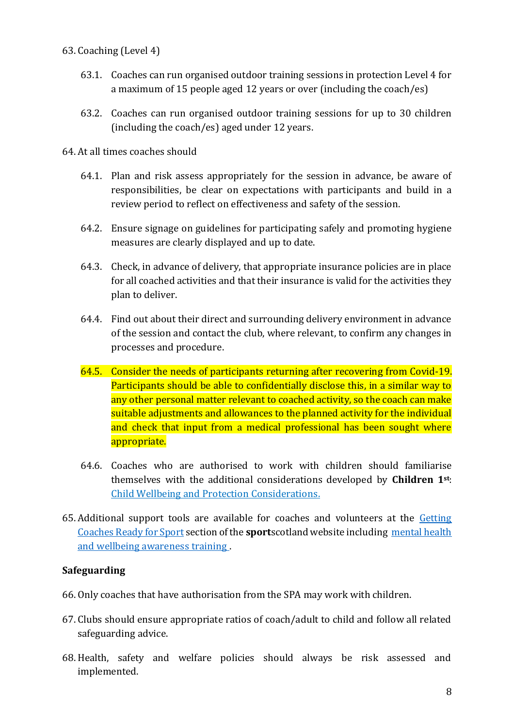### 63. Coaching (Level 4)

- 63.1. Coaches can run organised outdoor training sessions in protection Level 4 for a maximum of 15 people aged 12 years or over (including the coach/es)
- 63.2. Coaches can run organised outdoor training sessions for up to 30 children (including the coach/es) aged under 12 years.

#### 64. At all times coaches should

- 64.1. Plan and risk assess appropriately for the session in advance, be aware of responsibilities, be clear on expectations with participants and build in a review period to reflect on effectiveness and safety of the session.
- 64.2. Ensure signage on guidelines for participating safely and promoting hygiene measures are clearly displayed and up to date.
- 64.3. Check, in advance of delivery, that appropriate insurance policies are in place for all coached activities and that their insurance is valid for the activities they plan to deliver.
- 64.4. Find out about their direct and surrounding delivery environment in advance of the session and contact the club, where relevant, to confirm any changes in processes and procedure.
- 64.5. Consider the needs of participants returning after recovering from Covid-19. Participants should be able to confidentially disclose this, in a similar way to any other personal matter relevant to coached activity, so the coach can make suitable adjustments and allowances to the planned activity for the individual and check that input from a medical professional has been sought where appropriate.
- 64.6. Coaches who are authorised to work with children should familiarise themselves with the additional considerations developed by **Children 1st**: [Child Wellbeing and Protection Considerations.](http://www.sportscotland.org.uk/media/5774/cyp-return-to-sport-after-covid-19.pdf)
- 65. Additional support tools are available for coaches and volunteers at the [Getting](https://sportscotland.org.uk/covid-19/getting-coaches-ready-for-sport/)  [Coaches Ready for Sport](https://sportscotland.org.uk/covid-19/getting-coaches-ready-for-sport/) section of the **sport**scotland website including [mental health](https://sportscotland.info/mentalhealth/#/)  [and wellbeing awareness training .](https://sportscotland.info/mentalhealth/#/)

### **Safeguarding**

- 66. Only coaches that have authorisation from the SPA may work with children.
- 67. Clubs should ensure appropriate ratios of coach/adult to child and follow all related safeguarding advice.
- 68. Health, safety and welfare policies should always be risk assessed and implemented.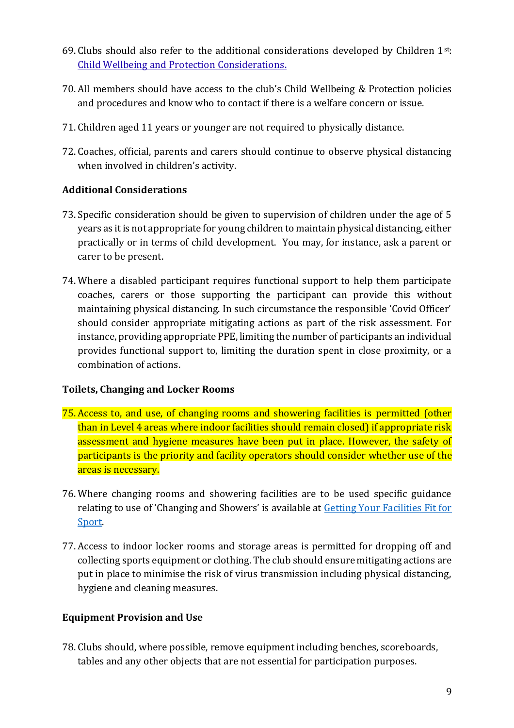- 69. Clubs should also refer to the additional considerations developed by Children 1st: [Child Wellbeing and Protection Considerations.](http://www.sportscotland.org.uk/media/5774/cyp-return-to-sport-after-covid-19.pdf)
- 70. All members should have access to the club's Child Wellbeing & Protection policies and procedures and know who to contact if there is a welfare concern or issue.
- 71. Children aged 11 years or younger are not required to physically distance.
- 72. Coaches, official, parents and carers should continue to observe physical distancing when involved in children's activity.

## **Additional Considerations**

- 73.Specific consideration should be given to supervision of children under the age of 5 years as it is not appropriate for young children to maintain physical distancing, either practically or in terms of child development. You may, for instance, ask a parent or carer to be present.
- 74. Where a disabled participant requires functional support to help them participate coaches, carers or those supporting the participant can provide this without maintaining physical distancing. In such circumstance the responsible 'Covid Officer' should consider appropriate mitigating actions as part of the risk assessment. For instance, providing appropriate PPE, limiting the number of participants an individual provides functional support to, limiting the duration spent in close proximity, or a combination of actions.

### **Toilets, Changing and Locker Rooms**

- 75. Access to, and use, of changing rooms and showering facilities is permitted (other than in Level 4 areas where indoor facilities should remain closed) if appropriate risk assessment and hygiene measures have been put in place. However, the safety of participants is the priority and facility operators should consider whether use of the areas is necessary.
- 76. Where changing rooms and showering facilities are to be used specific guidance relating to use of 'Changing and Showers' is available at [Getting Your Facilities Fit for](http://www.sportscotland.org.uk/covid-19/getting-your-facilities-fit-for-sport/)  [Sport.](http://www.sportscotland.org.uk/covid-19/getting-your-facilities-fit-for-sport/)
- 77. Access to indoor locker rooms and storage areas is permitted for dropping off and collecting sports equipment or clothing. The club should ensure mitigating actions are put in place to minimise the risk of virus transmission including physical distancing, hygiene and cleaning measures.

## **Equipment Provision and Use**

78. Clubs should, where possible, remove equipment including benches, scoreboards, tables and any other objects that are not essential for participation purposes.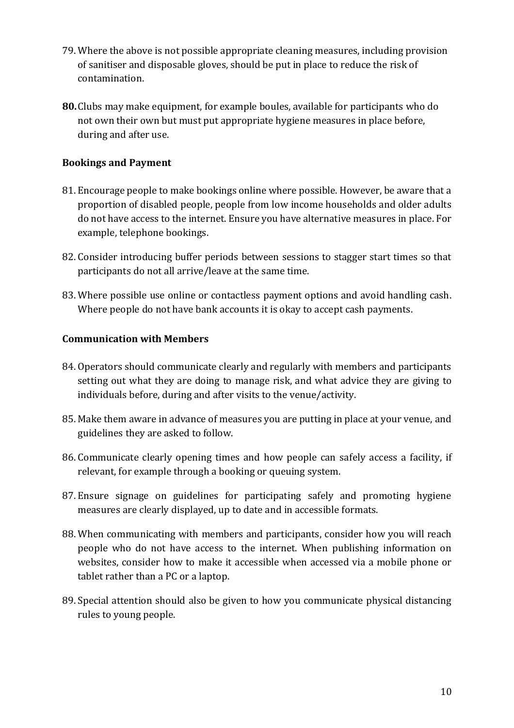- 79. Where the above is not possible appropriate cleaning measures, including provision of sanitiser and disposable gloves, should be put in place to reduce the risk of contamination.
- **80.**Clubs may make equipment, for example boules, available for participants who do not own their own but must put appropriate hygiene measures in place before, during and after use.

### **Bookings and Payment**

- 81. Encourage people to make bookings online where possible. However, be aware that a proportion of disabled people, people from low income households and older adults do not have access to the internet. Ensure you have alternative measures in place. For example, telephone bookings.
- 82. Consider introducing buffer periods between sessions to stagger start times so that participants do not all arrive/leave at the same time.
- 83. Where possible use online or contactless payment options and avoid handling cash. Where people do not have bank accounts it is okay to accept cash payments.

### **Communication with Members**

- 84. Operators should communicate clearly and regularly with members and participants setting out what they are doing to manage risk, and what advice they are giving to individuals before, during and after visits to the venue/activity.
- 85. Make them aware in advance of measures you are putting in place at your venue, and guidelines they are asked to follow.
- 86. Communicate clearly opening times and how people can safely access a facility, if relevant, for example through a booking or queuing system.
- 87. Ensure signage on guidelines for participating safely and promoting hygiene measures are clearly displayed, up to date and in accessible formats.
- 88. When communicating with members and participants, consider how you will reach people who do not have access to the internet. When publishing information on websites, consider how to make it accessible when accessed via a mobile phone or tablet rather than a PC or a laptop.
- 89.Special attention should also be given to how you communicate physical distancing rules to young people.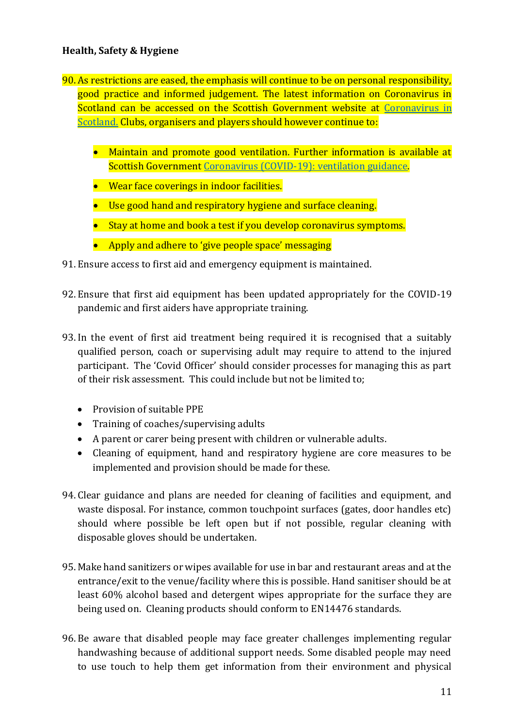### **Health, Safety & Hygiene**

- 90. As restrictions are eased, the emphasis will continue to be on personal responsibility, good practice and informed judgement. The latest information on Coronavirus in Scotland can be accessed on the Scottish Government website at Coronavirus in [Scotland.](https://www.gov.scot/coronavirus-covid-19/) Clubs, organisers and players should however continue to:
	- Maintain and promote good ventilation. Further information is available at Scottish Government [Coronavirus \(COVID-19\): ventilation guidance.](https://www.gov.scot/publications/coronavirus-covid-19-ventilation-guidance/pages/non-domestic-or-commercial-settings/)
	- Wear face coverings in indoor facilities.
	- Use good hand and respiratory hygiene and surface cleaning.
	- Stay at home and book a test if you develop coronavirus symptoms.
	- Apply and adhere to 'give people space' messaging
- 91. Ensure access to first aid and emergency equipment is maintained.
- 92. Ensure that first aid equipment has been updated appropriately for the COVID-19 pandemic and first aiders have appropriate training.
- 93. In the event of first aid treatment being required it is recognised that a suitably qualified person, coach or supervising adult may require to attend to the injured participant. The 'Covid Officer' should consider processes for managing this as part of their risk assessment. This could include but not be limited to;
	- Provision of suitable PPE
	- Training of coaches/supervising adults
	- A parent or carer being present with children or vulnerable adults.
	- Cleaning of equipment, hand and respiratory hygiene are core measures to be implemented and provision should be made for these.
- 94. Clear guidance and plans are needed for cleaning of facilities and equipment, and waste disposal. For instance, common touchpoint surfaces (gates, door handles etc) should where possible be left open but if not possible, regular cleaning with disposable gloves should be undertaken.
- 95. Make hand sanitizers or wipes available for use in bar and restaurant areas and at the entrance/exit to the venue/facility where this is possible. Hand sanitiser should be at least 60% alcohol based and detergent wipes appropriate for the surface they are being used on. Cleaning products should conform to EN14476 standards.
- 96. Be aware that disabled people may face greater challenges implementing regular handwashing because of additional support needs. Some disabled people may need to use touch to help them get information from their environment and physical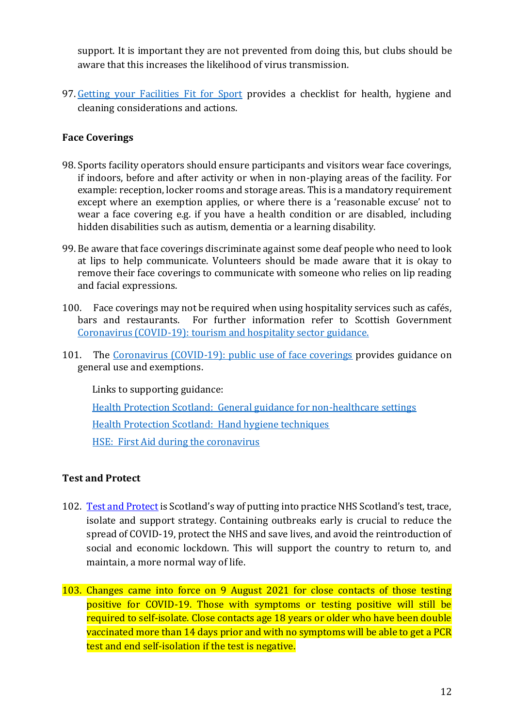support. It is important they are not prevented from doing this, but clubs should be aware that this increases the likelihood of virus transmission.

97. [Getting your Facilities Fit for Sport](http://www.sportscotland.org.uk/covid-19/getting-your-facilities-fit-for-sport/) provides a checklist for health, hygiene and cleaning considerations and actions.

### **Face Coverings**

- 98.Sports facility operators should ensure participants and visitors wear face coverings, if indoors, before and after activity or when in non-playing areas of the facility. For example: reception, locker rooms and storage areas. This is a mandatory requirement except where an exemption applies, or where there is a 'reasonable excuse' not to wear a face covering e.g. if you have a health condition or are disabled, including hidden disabilities such as autism, dementia or a learning disability.
- 99. Be aware that face coverings discriminate against some deaf people who need to look at lips to help communicate. Volunteers should be made aware that it is okay to remove their face coverings to communicate with someone who relies on lip reading and facial expressions.
- 100. Face coverings may not be required when using hospitality services such as cafés, bars and restaurants. For further information refer to Scottish Government [Coronavirus \(COVID-19\): tourism and hospitality sector guidance.](http://www.gov.scot/publications/coronavirus-covid-19-tourism-and-hospitality-sector-guidance/pages/hospitality-statutory-guidance/)
- 101. The [Coronavirus \(COVID-19\): public use of face coverings](https://www.gov.scot/publications/coronavirus-covid-19-phase-3-staying-safe-and-protecting-others/pages/face-coverings/) provides guidance on general use and exemptions.

Links to supporting guidance: [Health Protection Scotland: General guidance for non-healthcare settings](http://www.hps.scot.nhs.uk/web-resources-container/covid-19-guidance-for-non-healthcare-settings/) [Health Protection Scotland: Hand hygiene techniques](http://www.hps.scot.nhs.uk/a-to-z-of-topics/hand-hygiene/) [HSE: First Aid during the coronavirus](http://www.hse.gov.uk/coronavirus/first-aid-and-medicals/first-aid-certificate-coronavirus.htm)

### **Test and Protect**

- 102. [Test and Protect](https://www.nhsinform.scot/campaigns/test-and-protect) is Scotland's way of putting into practice NHS Scotland's test, trace, isolate and support strategy. Containing outbreaks early is crucial to reduce the spread of COVID-19, protect the NHS and save lives, and avoid the reintroduction of social and economic lockdown. This will support the country to return to, and maintain, a more normal way of life.
- 103. Changes came into force on 9 August 2021 for close contacts of those testing positive for COVID-19. Those with symptoms or testing positive will still be required to self-isolate. Close contacts age 18 years or older who have been double vaccinated more than 14 days prior and with no symptoms will be able to get a PCR test and end self-isolation if the test is negative.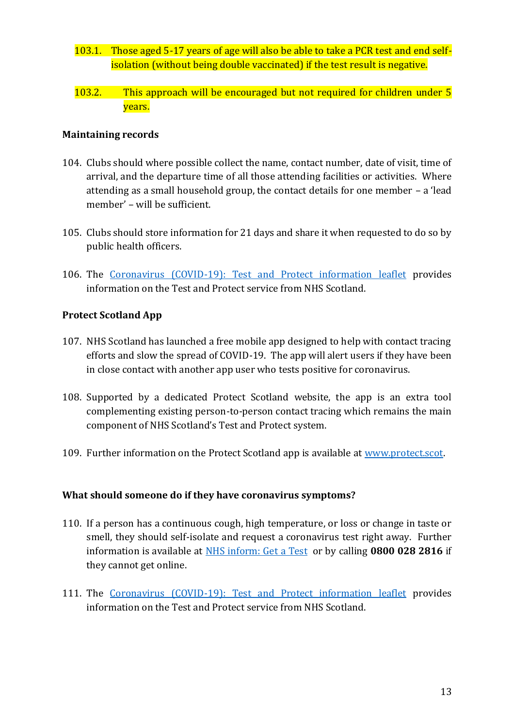- 103.1. Those aged 5-17 years of age will also be able to take a PCR test and end selfisolation (without being double vaccinated) if the test result is negative.
- 103.2. This approach will be encouraged but not required for children under 5 years.

#### **Maintaining records**

- 104. Clubs should where possible collect the name, contact number, date of visit, time of arrival, and the departure time of all those attending facilities or activities. Where attending as a small household group, the contact details for one member – a 'lead member' – will be sufficient.
- 105. Clubs should store information for 21 days and share it when requested to do so by public health officers.
- 106. The [Coronavirus \(COVID-19\): Test and Protect information leaflet](https://www.gov.scot/publications/coronavirus-covid-19-test-and-protect-coronavirus-service/) provides information on the Test and Protect service from NHS Scotland.

### **Protect Scotland App**

- 107. NHS Scotland has launched a free mobile app designed to help with contact tracing efforts and slow the spread of COVID-19. The app will alert users if they have been in close contact with another app user who tests positive for coronavirus.
- 108. Supported by a dedicated Protect Scotland website, the app is an extra tool complementing existing person-to-person contact tracing which remains the main component of NHS Scotland's Test and Protect system.
- 109. Further information on the Protect Scotland app is available at [www.protect.scot.](http://www.protect.scot/)

#### **What should someone do if they have coronavirus symptoms?**

- 110. If a person has a continuous cough, high temperature, or loss or change in taste or smell, they should self-isolate and request a coronavirus test right away. Further information is available at [NHS inform: Get a Test](https://www.nhsinform.scot/illnesses-and-conditions/infections-and-poisoning/coronavirus-covid-19/test-and-protect/coronavirus-covid-19-get-a-test-if-you-have-symptoms) or by calling **0800 028 2816** if they cannot get online.
- 111. The [Coronavirus \(COVID-19\): Test and Protect information leaflet](https://www.gov.scot/publications/coronavirus-covid-19-test-and-protect-coronavirus-service/) provides information on the Test and Protect service from NHS Scotland.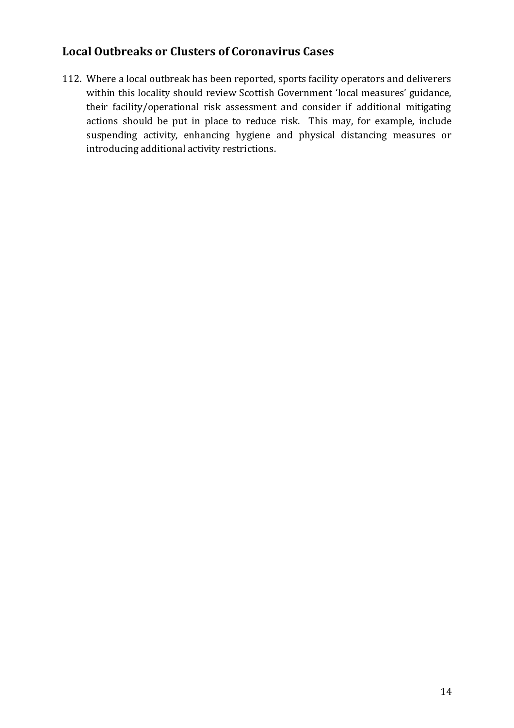## **Local Outbreaks or Clusters of Coronavirus Cases**

112. Where a local outbreak has been reported, sports facility operators and deliverers within this locality should review Scottish Government 'local measures' guidance, their facility/operational risk assessment and consider if additional mitigating actions should be put in place to reduce risk. This may, for example, include suspending activity, enhancing hygiene and physical distancing measures or introducing additional activity restrictions.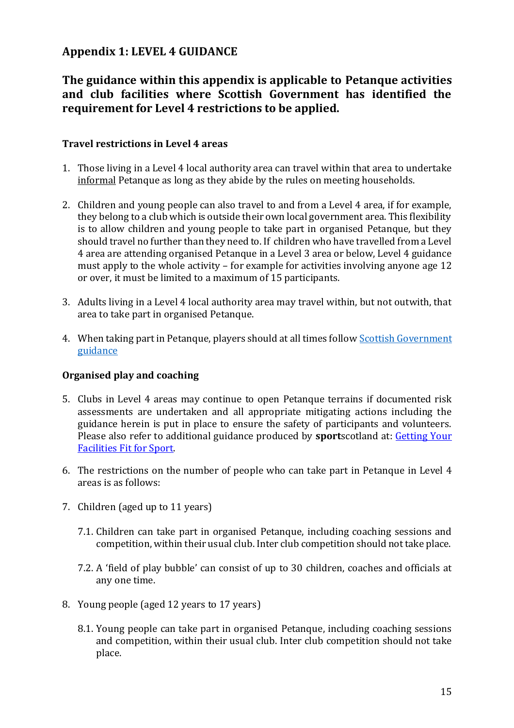## **Appendix 1: LEVEL 4 GUIDANCE**

## **The guidance within this appendix is applicable to Petanque activities and club facilities where Scottish Government has identified the requirement for Level 4 restrictions to be applied.**

#### **Travel restrictions in Level 4 areas**

- 1. Those living in a Level 4 local authority area can travel within that area to undertake informal Petanque as long as they abide by the rules on meeting households.
- 2. Children and young people can also travel to and from a Level 4 area, if for example, they belong to a club which is outside their own local government area. This flexibility is to allow children and young people to take part in organised Petanque, but they should travel no further than they need to. If children who have travelled from a Level 4 area are attending organised Petanque in a Level 3 area or below, Level 4 guidance must apply to the whole activity – for example for activities involving anyone age 12 or over, it must be limited to a maximum of 15 participants.
- 3. Adults living in a Level 4 local authority area may travel within, but not outwith, that area to take part in organised Petanque.
- 4. When taking part in Petanque, players should at all times follow [Scottish Government](https://www.gov.scot/publications/coronavirus-covid-19-stay-at-home-guidance/)  [guidance](https://www.gov.scot/publications/coronavirus-covid-19-stay-at-home-guidance/)

### **Organised play and coaching**

- 5. Clubs in Level 4 areas may continue to open Petanque terrains if documented risk assessments are undertaken and all appropriate mitigating actions including the guidance herein is put in place to ensure the safety of participants and volunteers. Please also refer to additional guidance produced by **sport**scotland at: [Getting Your](http://www.sportscotland.org.uk/covid-19/getting-your-facilities-fit-for-sport/)  [Facilities Fit for Sport.](http://www.sportscotland.org.uk/covid-19/getting-your-facilities-fit-for-sport/)
- 6. The restrictions on the number of people who can take part in Petanque in Level 4 areas is as follows:
- 7. Children (aged up to 11 years)
	- 7.1. Children can take part in organised Petanque, including coaching sessions and competition, within their usual club. Inter club competition should not take place.
	- 7.2. A 'field of play bubble' can consist of up to 30 children, coaches and officials at any one time.
- 8. Young people (aged 12 years to 17 years)
	- 8.1. Young people can take part in organised Petanque, including coaching sessions and competition, within their usual club. Inter club competition should not take place.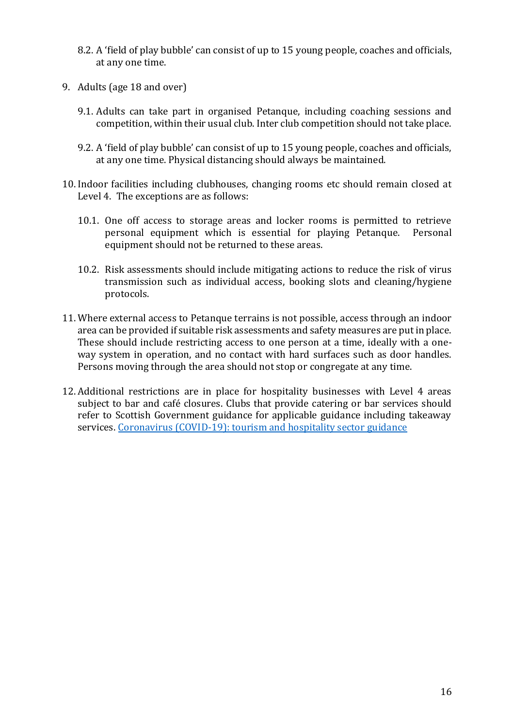- 8.2. A 'field of play bubble' can consist of up to 15 young people, coaches and officials, at any one time.
- 9. Adults (age 18 and over)
	- 9.1. Adults can take part in organised Petanque, including coaching sessions and competition, within their usual club. Inter club competition should not take place.
	- 9.2. A 'field of play bubble' can consist of up to 15 young people, coaches and officials, at any one time. Physical distancing should always be maintained.
- 10. Indoor facilities including clubhouses, changing rooms etc should remain closed at Level 4. The exceptions are as follows:
	- 10.1. One off access to storage areas and locker rooms is permitted to retrieve personal equipment which is essential for playing Petanque. Personal equipment should not be returned to these areas.
	- 10.2. Risk assessments should include mitigating actions to reduce the risk of virus transmission such as individual access, booking slots and cleaning/hygiene protocols.
- 11. Where external access to Petanque terrains is not possible, access through an indoor area can be provided if suitable risk assessments and safety measures are put in place. These should include restricting access to one person at a time, ideally with a oneway system in operation, and no contact with hard surfaces such as door handles. Persons moving through the area should not stop or congregate at any time.
- 12. Additional restrictions are in place for hospitality businesses with Level 4 areas subject to bar and café closures. Clubs that provide catering or bar services should refer to Scottish Government guidance for applicable guidance including takeaway services. Coronavirus (COVID-19): tourism and hospitality sector guidance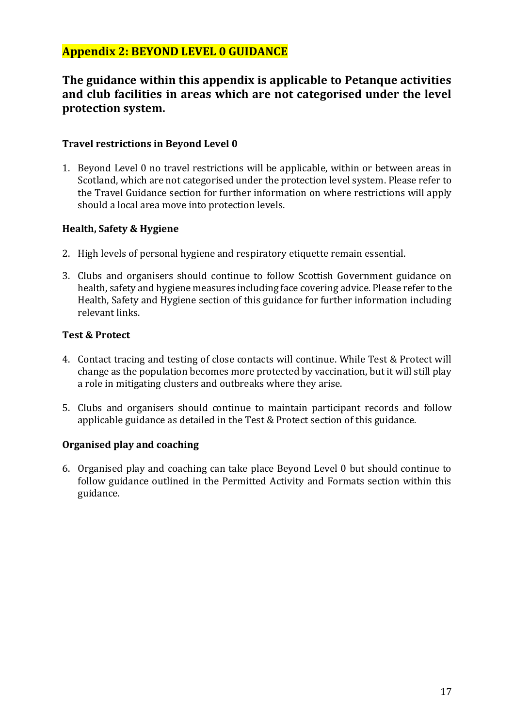## **Appendix 2: BEYOND LEVEL 0 GUIDANCE**

## **The guidance within this appendix is applicable to Petanque activities and club facilities in areas which are not categorised under the level protection system.**

#### **Travel restrictions in Beyond Level 0**

1. Beyond Level 0 no travel restrictions will be applicable, within or between areas in Scotland, which are not categorised under the protection level system. Please refer to the Travel Guidance section for further information on where restrictions will apply should a local area move into protection levels.

#### **Health, Safety & Hygiene**

- 2. High levels of personal hygiene and respiratory etiquette remain essential.
- 3. Clubs and organisers should continue to follow Scottish Government guidance on health, safety and hygiene measures including face covering advice. Please refer to the Health, Safety and Hygiene section of this guidance for further information including relevant links.

#### **Test & Protect**

- 4. Contact tracing and testing of close contacts will continue. While Test & Protect will change as the population becomes more protected by vaccination, but it will still play a role in mitigating clusters and outbreaks where they arise.
- 5. Clubs and organisers should continue to maintain participant records and follow applicable guidance as detailed in the Test & Protect section of this guidance.

### **Organised play and coaching**

6. Organised play and coaching can take place Beyond Level 0 but should continue to follow guidance outlined in the Permitted Activity and Formats section within this guidance.